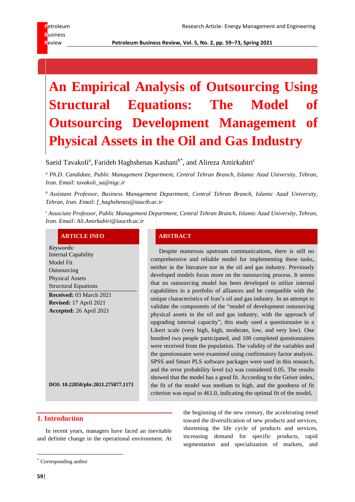**R**eview **Petroleum Business Review, Vol. 5, No. 2, pp. 59–73, Spring 2021**

# **An Empirical Analysis of Outsourcing Using Structural Equations: The Model of Outsourcing Development Management of Physical Assets in the Oil and Gas Industry**

Saeid Tavakoli<sup>a</sup>, Farideh Haghshenas Kashani<sup>b\*</sup>, and Alireza Amirkabiri<sup>c</sup>

*<sup>a</sup> Ph.D. Candidate, Public Management Department, Central Tehran Branch, Islamic Azad University, Tehran, Iran. Email: tavakoli\_sa@nigc.ir*

*<sup>b</sup> Assistant Professor, Business Management Department, Central Tehran Branch, Islamic Azad University, Tehran, Iran. Email: f\_haghshenas@iauctb.ac.ir*

*<sup>c</sup>Associate Professor, Public Management Department, Central Tehran Branch, Islamic Azad University, Tehran, Iran. Email: Ali.Amirkabiri@iauctb.ac.ir*

#### **ARTICLE INFO ABSTRACT**

| Keywords:                      |
|--------------------------------|
| <b>Internal Capability</b>     |
| Model Fit                      |
| Outsourcing                    |
| <b>Physical Assets</b>         |
| <b>Structural Equations</b>    |
| <b>Received: 03 March 2021</b> |
|                                |
| <b>Revised:</b> 17 April 2021  |
| <b>Accepted:</b> 26 April 2021 |
|                                |
|                                |
|                                |

**DOI: 10.22050/pbr.2021.275877.1171**

Despite numerous upstream communications, there is still no comprehensive and reliable model for implementing these tasks, neither in the literature nor in the oil and gas industry. Previously developed models focus more on the outsourcing process. It seems that no outsourcing model has been developed to utilize internal capabilities in a portfolio of alliances and be compatible with the unique characteristics of Iran's oil and gas industry. In an attempt to validate the components of the "model of development outsourcing physical assets in the oil and gas industry, with the approach of upgrading internal capacity", this study used a questionnaire in a Likert scale (very high, high, moderate, low, and very low). One hundred two people participated, and 100 completed questionnaires were received from the population. The validity of the variables and the questionnaire were examined using confirmatory factor analysis. SPSS and Smart PLS software packages were used in this research, and the error probability level ( $\alpha$ ) was considered 0.05. The results showed that the model has a good fit. According to the Geiser index, the fit of the model was medium to high, and the goodness of fit criterion was equal to 461.0, indicating the optimal fit of the model **.**

#### **1. Introduction**

In recent years, managers have faced an inevitable and definite change in the operational environment. At the beginning of the new century, the accelerating trend toward the diversification of new products and services, shortening the life cycle of products and services, increasing demand for specific products, rapid segmentation and specialization of markets, and

<sup>\*</sup> Corresponding author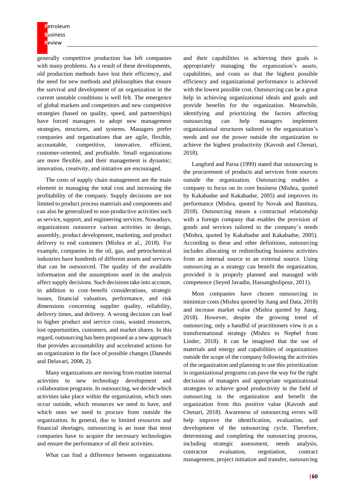generally competitive production has left companies with many problems. As a result of these developments, old production methods have lost their efficiency, and the need for new methods and philosophies that ensure the survival and development of an organization in the current unstable conditions is well felt. The emergence of global markets and competitors and new competitive strategies (based on quality, speed, and partnerships) have forced managers to adopt new management strategies, structures, and systems. Managers prefer companies and organizations that are agile, flexible, accountable, competitive, innovative, efficient, customer-oriented, and profitable. Small organizations are more flexible, and their management is dynamic; innovation, creativity, and initiative are encouraged.

The costs of supply chain management are the main element in managing the total cost and increasing the profitability of the company. Supply decisions are not limited to product process materials and components and can also be generalized to non-productive activities such as service, support, and engineering services. Nowadays, organizations outsource various activities in design, assembly, product development, marketing, and product delivery to end customers (Mishra et al., 2018). For example, companies in the oil, gas, and petrochemical industries have hundreds of different assets and services that can be outsourced. The quality of the available information and the assumptions used in the analysis affect supply decisions. Such decisions take into account, in addition to cost–benefit considerations, strategic issues, financial valuation, performance, and risk dimensions concerning supplier quality, reliability, delivery times, and delivery. A wrong decision can lead to higher product and service costs, wasted resources, lost opportunities, customers, and market shares. In this regard, outsourcing has been proposed as a new approach that provides accountability and accelerated actions for an organization in the face of possible changes (Daneshi and Delavari, 2008, 2).

Many organizations are moving from routine internal activities to new technology development and collaboration programs. In outsourcing, we decide which activities take place within the organization, which ones occur outside, which resources we need to have, and which ones we need to procure from outside the organization. In general, due to limited resources and financial shortages, outsourcing is an issue that most companies have to acquire the necessary technologies and ensure the performance of all their activities.

What can find a difference between organizations

and their capabilities in achieving their goals is appropriately managing the organization's assets, capabilities, and costs so that the highest possible efficiency and organizational performance is achieved with the lowest possible cost. Outsourcing can be a great help in achieving organizational ideals and goals and provide benefits for the organization. Meanwhile, identifying and prioritizing the factors affecting outsourcing can help managers implement organizational structures tailored to the organization's needs and use the power outside the organization to achieve the highest productivity (Kavosh and Chenari, 2018).

Langford and Parsa (1999) stated that outsourcing is the procurement of products and services from sources outside the organization. Outsourcing enables a company to focus on its core business (Mishra, quoted by Kakabadse and Kakabadse, 2005) and improves its performance (Mishra, quoted by Novak and Bastinza, 2018). Outsourcing means a contractual relationship with a foreign company that enables the provision of goods and services tailored to the company's needs (Mishra, quoted by Kakabadse and Kakabadse, 2005). According to these and other definitions, outsourcing includes allocating or redistributing business activities from an internal source to an external source. Using outsourcing as a strategy can benefit the organization, provided it is properly planned and managed with competence (Seyed Javadin, Hassangholipour, 2011).

Most companies have chosen outsourcing to minimize costs (Mishra quoted by Jiang and Data, 2018) and increase market value (Mishra quoted by Jiang, 2018). However, despite the growing trend of outsourcing, only a handful of practitioners view it as a transformational strategy (Mishra to Nephel from Linder, 2018). It can be imagined that the use of materials and energy and capabilities of organizations outside the scope of the company following the activities of the organization and planning to use this prioritization in organizational programs can pave the way for the right decisions of managers and appropriate organizational strategies to achieve good productivity in the field of outsourcing in the organization and benefit the organization from this positive value (Kavosh and Chenari, 2018). Awareness of outsourcing errors will help improve the identification, evaluation, and development of the outsourcing cycle. Therefore, determining and completing the outsourcing process, including strategic assessment, needs analysis, contractor evaluation, negotiation, contract management, project initiation and transfer, outsourcing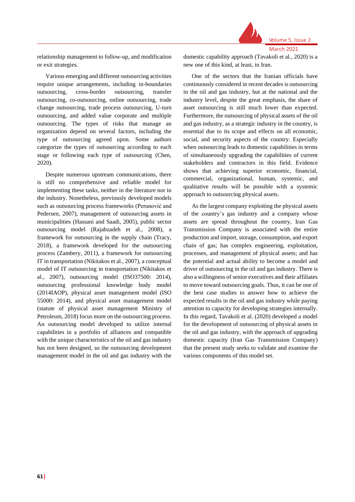

relationship management to follow-up, and modification or exit strategies.

Various emerging and different outsourcing activities require unique arrangements, including in-boundaries outsourcing, cross-border outsourcing, transfer outsourcing, co-outsourcing, online outsourcing, trade change outsourcing, trade process outsourcing, U-turn outsourcing, and added value corporate and multiple outsourcing. The types of risks that manage an organization depend on several factors, including the type of outsourcing agreed upon. Some authors categorize the types of outsourcing according to each stage or following each type of outsourcing (Chen, 2020).

Despite numerous upstream communications, there is still no comprehensive and reliable model for implementing these tasks, neither in the literature nor in the industry. Nonetheless, previously developed models such as outsourcing process frameworks (Perunović and Pedersen, 2007), management of outsourcing assets in municipalities (Hassani and Saadi, 2005), public sector outsourcing model (Rajabzadeh et al., 2008), a framework for outsourcing in the supply chain (Tracy, 2018), a framework developed for the outsourcing process (Zambery, 2011), a framework for outsourcing IT in transportation (Nikitakos et al., 2007), a conceptual model of IT outsourcing in transportation (Nikitakos et al., 2007), outsourcing model (ISO37500: 2014), outsourcing professional knowledge body model (2014IAOP), physical asset management model (ISO 55000: 2014), and physical asset management model (statute of physical asset management Ministry of Petroleum, 2018) focus more on the outsourcing process. An outsourcing model developed to utilize internal capabilities in a portfolio of alliances and compatible with the unique characteristics of the oil and gas industry has not been designed, so the outsourcing development management model in the oil and gas industry with the

domestic capability approach (Tavakoli et al., 2020) is a new one of this kind, at least, in Iran.

One of the sectors that the Iranian officials have continuously considered in recent decades is outsourcing in the oil and gas industry, but at the national and the industry level, despite the great emphasis, the share of asset outsourcing is still much lower than expected. Furthermore, the outsourcing of physical assets of the oil and gas industry, as a strategic industry in the country, is essential due to its scope and effects on all economic, social, and security aspects of the country. Especially when outsourcing leads to domestic capabilities in terms of simultaneously upgrading the capabilities of current stakeholders and contractors in this field. Evidence shows that achieving superior economic, financial, commercial, organizational, human, systemic, and qualitative results will be possible with a systemic approach to outsourcing physical assets.

As the largest company exploiting the physical assets of the country's gas industry and a company whose assets are spread throughout the country, Iran Gas Transmission Company is associated with the entire production and import, storage, consumption, and export chain of gas; has complex engineering, exploitation, processes, and management of physical assets; and has the potential and actual ability to become a model and driver of outsourcing in the oil and gas industry. There is also a willingness of senior executives and their affiliates to move toward outsourcing goals. Thus, it can be one of the best case studies to answer how to achieve the expected results in the oil and gas industry while paying attention to capacity for developing strategies internally. In this regard, Tavakoli et al. (2020) developed a model for the development of outsourcing of physical assets in the oil and gas industry, with the approach of upgrading domestic capacity (Iran Gas Transmission Company) that the present study seeks to validate and examine the various components of this model set.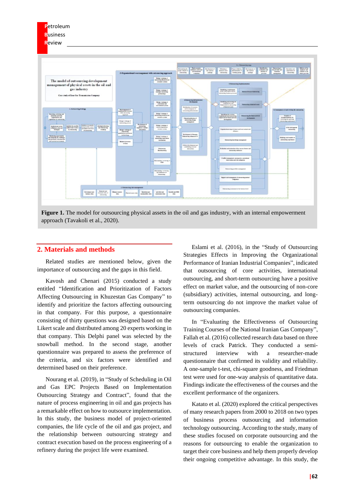



#### **2. Materials and methods**

Related studies are mentioned below, given the importance of outsourcing and the gaps in this field.

 $\begin{array}{|l|c|c|c|c|}\hline \text{Riemann} & \text{Riemann} \\\hline \text{Riemannian} & \text{Riemannian} \\\hline \end{array}$ 

Kavosh and Chenari (2015) conducted a study entitled "Identification and Prioritization of Factors Affecting Outsourcing in Khuzestan Gas Company" to identify and prioritize the factors affecting outsourcing in that company. For this purpose, a questionnaire consisting of thirty questions was designed based on the Likert scale and distributed among 20 experts working in that company. This Delphi panel was selected by the snowball method. In the second stage, another questionnaire was prepared to assess the preference of the criteria, and six factors were identified and determined based on their preference .

Nourang et al. (2019), in "Study of Scheduling in Oil and Gas EPC Projects Based on Implementation Outsourcing Strategy and Contract", found that the nature of process engineering in oil and gas projects has a remarkable effect on how to outsource implementation. In this study, the business model of project-oriented companies, the life cycle of the oil and gas project, and the relationship between outsourcing strategy and contract execution based on the process engineering of a refinery during the project life were examined .

Eslami et al. (2016), in the "Study of Outsourcing Strategies Effects in Improving the Organizational Performance of Iranian Industrial Companies", indicated that outsourcing of core activities, international outsourcing, and short-term outsourcing have a positive effect on market value, and the outsourcing of non-core (subsidiary) activities, internal outsourcing, and longterm outsourcing do not improve the market value of outsourcing companies.

In "Evaluating the Effectiveness of Outsourcing Training Courses of the National Iranian Gas Company", Fallah et al. (2016) collected research data based on three levels of crack Patrick. They conducted a semistructured interview with a researcher-made questionnaire that confirmed its validity and reliability. A one-sample t-test, chi-square goodness, and Friedman test were used for one-way analysis of quantitative data. Findings indicate the effectiveness of the courses and the excellent performance of the organizers .

Katato et al. (2020) explored the critical perspectives of many research papers from 2000 to 2018 on two types of business process outsourcing and information technology outsourcing. According to the study, many of these studies focused on corporate outsourcing and the reasons for outsourcing to enable the organization to target their core business and help them properly develop their ongoing competitive advantage. In this study, the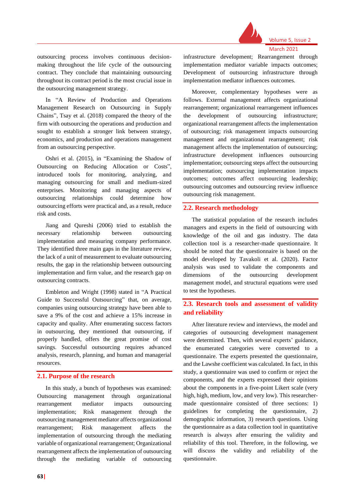

outsourcing process involves continuous decisionmaking throughout the life cycle of the outsourcing contract. They conclude that maintaining outsourcing throughout its contract period is the most crucial issue in the outsourcing management strategy .

In "A Review of Production and Operations Management Research on Outsourcing in Supply Chains", Tsay et al. (2018) compared the theory of the firm with outsourcing the operations and production and sought to establish a stronger link between strategy, economics, and production and operations management from an outsourcing perspective .

Oshri et al. (2015), in "Examining the Shadow of Outsourcing on Reducing Allocation or Costs", introduced tools for monitoring, analyzing, and managing outsourcing for small and medium-sized enterprises. Monitoring and managing aspects of outsourcing relationships could determine how outsourcing efforts were practical and, as a result, reduce risk and costs.

Jiang and Qureshi (2006) tried to establish the necessary relationship between outsourcing implementation and measuring company performance. They identified three main gaps in the literature review, the lack of a unit of measurement to evaluate outsourcing results, the gap in the relationship between outsourcing implementation and firm value, and the research gap on outsourcing contracts .

Embleton and Wright (1998) stated in "A Practical Guide to Successful Outsourcing" that, on average, companies using outsourcing strategy have been able to save a 9% of the cost and achieve a 15% increase in capacity and quality. After enumerating success factors in outsourcing, they mentioned that outsourcing, if properly handled, offers the great promise of cost savings. Successful outsourcing requires advanced analysis, research, planning, and human and managerial resources.

#### **2.1. Purpose of the research**

In this study, a bunch of hypotheses was examined: Outsourcing management through organizational rearrangement mediator impacts outsourcing implementation; Risk management through the outsourcing management mediator affects organizational rearrangement; Risk management affects the implementation of outsourcing through the mediating variable of organizational rearrangement; Organizational rearrangement affects the implementation of outsourcing through the mediating variable of outsourcing infrastructure development; Rearrangement through implementation mediator variable impacts outcomes; Development of outsourcing infrastructure through implementation mediator influences outcomes.

Moreover, complementary hypotheses were as follows. External management affects organizational rearrangement; organizational rearrangement influences the development of outsourcing infrastructure; organizational rearrangement affects the implementation of outsourcing; risk management impacts outsourcing management and organizational rearrangement; risk management affects the implementation of outsourcing; infrastructure development influences outsourcing implementation; outsourcing steps affect the outsourcing implementation; outsourcing implementation impacts outcomes; outcomes affect outsourcing leadership; outsourcing outcomes and outsourcing review influence outsourcing risk management.

#### **2.2. Research methodology**

The statistical population of the research includes managers and experts in the field of outsourcing with knowledge of the oil and gas industry. The data collection tool is a researcher-made questionnaire. It should be noted that the questionnaire is based on the model developed by Tavakoli et al. (2020). Factor analysis was used to validate the components and dimensions of the outsourcing development management model, and structural equations were used to test the hypotheses.

# **2.3. Research tools and assessment of validity and reliability**

After literature review and interviews, the model and categories of outsourcing development management were determined. Then, with several experts' guidance, the enumerated categories were converted to a questionnaire. The experts presented the questionnaire, and the Lawshe coefficient was calculated. In fact, in this study, a questionnaire was used to confirm or reject the components, and the experts expressed their opinions about the components in a five-point Likert scale (very high, high, medium, low, and very low). This researchermade questionnaire consisted of three sections: 1) guidelines for completing the questionnaire, 2) demographic information, 3) research questions. Using the questionnaire as a data collection tool in quantitative research is always after ensuring the validity and reliability of this tool. Therefore, in the following, we will discuss the validity and reliability of the questionnaire.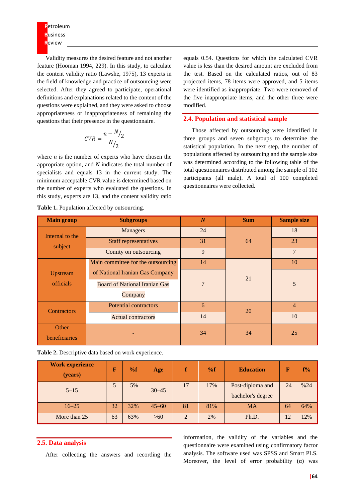Validity measures the desired feature and not another feature (Hooman 1994, 229). In this study, to calculate the content validity ratio (Lawshe, 1975), 13 experts in the field of knowledge and practice of outsourcing were selected. After they agreed to participate, operational definitions and explanations related to the content of the questions were explained, and they were asked to choose appropriateness or inappropriateness of remaining the questions that their presence in the questionnaire .

$$
CVR = \frac{n - N/2}{N/2}
$$

where  $n$  is the number of experts who have chosen the appropriate option, and *N* indicates the total number of specialists and equals 13 in the current study. The minimum acceptable CVR value is determined based on the number of experts who evaluated the questions. In this study, experts are 13, and the content validity ratio

**Table 1.** Population affected by outsourcing.

equals 0.54. Questions for which the calculated CVR value is less than the desired amount are excluded from the test. Based on the calculated ratios, out of 83 projected items, 78 items were approved, and 5 items were identified as inappropriate. Two were removed of the five inappropriate items, and the other three were modified.

#### **2.4. Population and statistical sample**

Those affected by outsourcing were identified in three groups and seven subgroups to determine the statistical population. In the next step, the number of populations affected by outsourcing and the sample size was determined according to the following table of the total questionnaires distributed among the sample of 102 participants (all male). A total of 100 completed questionnaires were collected.

| <b>Main group</b>  | <b>Subgroups</b>                     | $\boldsymbol{N}$ | <b>Sum</b> | <b>Sample size</b> |
|--------------------|--------------------------------------|------------------|------------|--------------------|
| Internal to the    | <b>Managers</b>                      | 24               |            | 18                 |
| subject            | <b>Staff representatives</b>         | 23               |            |                    |
|                    | Comity on outsourcing                | 9                |            | $\overline{7}$     |
|                    | Main committee for the outsourcing   | 14               |            | 10                 |
| Upstream           | of National Iranian Gas Company      |                  | 21         |                    |
| officials          | <b>Board of National Iranian Gas</b> | $\overline{7}$   |            | 5                  |
|                    | Company                              |                  |            |                    |
| <b>Contractors</b> | <b>Potential contractors</b><br>6    |                  | 20         | $\overline{4}$     |
|                    | <b>Actual contractors</b>            | 14               |            | 10                 |
| Other              |                                      | 34               | 34         | 25                 |
| beneficiaries      |                                      |                  |            |                    |

|  | Table 2. Descriptive data based on work experience. |  |  |  |  |
|--|-----------------------------------------------------|--|--|--|--|
|--|-----------------------------------------------------|--|--|--|--|

| <b>Work experience</b><br>(years) | F  | %f  | Age       |                | %f  | <b>Education</b>                      |    | $f\%$          |
|-----------------------------------|----|-----|-----------|----------------|-----|---------------------------------------|----|----------------|
| $5 - 15$                          |    | 5%  | $30 - 45$ | 17             | 17% | Post-diploma and<br>bachelor's degree | 24 | $\frac{0}{24}$ |
| $16 - 25$                         | 32 | 32% | $45 - 60$ | 81             | 81% | <b>MA</b>                             | 64 | 64%            |
| More than 25                      | 63 | 63% | $>60$     | $\overline{2}$ | 2%  | Ph.D.                                 | 12 | 12%            |

### **2.5. Data analysis**

After collecting the answers and recording the

information, the validity of the variables and the questionnaire were examined using confirmatory factor analysis. The software used was SPSS and Smart PLS. Moreover, the level of error probability  $(\alpha)$  was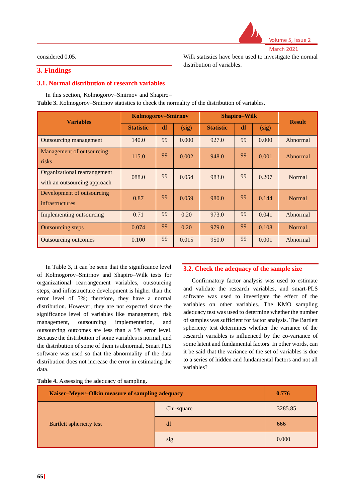

considered 0.05.

Wilk statistics have been used to investigate the normal distribution of variables.

# **3. Findings**

### **3.1. Normal distribution of research variables**

In this section, Kolmogorov–Smirnov and Shapiro– **Table 3.** Kolmogorov–Smirnov statistics to check the normality of the distribution of variables.

| <b>Variables</b>                                             | <b>Kolmogorov–Smirnov</b> |    |       | <b>Shapiro-Wilk</b> | <b>Result</b> |       |               |
|--------------------------------------------------------------|---------------------------|----|-------|---------------------|---------------|-------|---------------|
|                                                              | <b>Statistic</b>          | df | (sig) | <b>Statistic</b>    | df            | (sig) |               |
| Outsourcing management                                       | 140.0                     | 99 | 0.000 | 927.0               | 99            | 0.000 | Abnormal      |
| Management of outsourcing<br>risks                           | 115.0                     | 99 | 0.002 | 948.0               | 99            | 0.001 | Abnormal      |
| Organizational rearrangement<br>with an outsourcing approach | 088.0                     | 99 | 0.054 | 983.0               | 99            | 0.207 | Normal        |
| Development of outsourcing<br>infrastructures                | 0.87                      | 99 | 0.059 | 980.0               | 99            | 0.144 | <b>Normal</b> |
| Implementing outsourcing                                     | 0.71                      | 99 | 0.20  | 973.0               | 99            | 0.041 | Abnormal      |
| <b>Outsourcing steps</b>                                     | 0.074                     | 99 | 0.20  | 979.0               | 99            | 0.108 | <b>Normal</b> |
| <b>Outsourcing outcomes</b>                                  | 0.100                     | 99 | 0.015 | 950.0               | 99            | 0.001 | Abnormal      |

In Table 3, it can be seen that the significance level of Kolmogorov–Smirnov and Shapiro–Wilk tests for organizational rearrangement variables, outsourcing steps, and infrastructure development is higher than the error level of 5%; therefore, they have a normal distribution. However, they are not expected since the significance level of variables like management, risk management, outsourcing implementation, and outsourcing outcomes are less than a 5% error level. Because the distribution of some variables is normal, and the distribution of some of them is abnormal, Smart PLS software was used so that the abnormality of the data distribution does not increase the error in estimating the data.

#### **3.2. Check the adequacy of the sample size**

Confirmatory factor analysis was used to estimate and validate the research variables, and smart-PLS software was used to investigate the effect of the variables on other variables. The KMO sampling adequacy test was used to determine whether the number of samples was sufficient for factor analysis. The Bartlett sphericity test determines whether the variance of the research variables is influenced by the co-variance of some latent and fundamental factors. In other words, can it be said that the variance of the set of variables is due to a series of hidden and fundamental factors and not all variables?

| Kaiser-Meyer-Olkin measure of sampling adequacy | 0.776      |         |
|-------------------------------------------------|------------|---------|
|                                                 | Chi-square | 3285.85 |
| Bartlett sphericity test                        | df         | 666     |
|                                                 | sig        | 0.000   |

**Table 4.** Assessing the adequacy of sampling.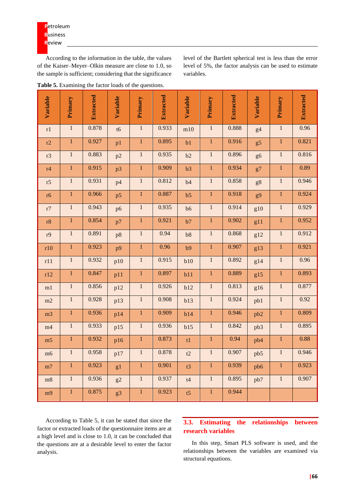According to the information in the table, the values of the Kaiser–Meyer–Olkin measure are close to 1.0, so the sample is sufficient; considering that the significance

level of the Bartlett spherical test is less than the error level of 5%, the factor analysis can be used to estimate variables.

| <b>Table 5.</b> Examining the factor loads of the questions. |  |  |  |  |  |  |  |  |
|--------------------------------------------------------------|--|--|--|--|--|--|--|--|
|                                                              |  |  |  |  |  |  |  |  |

| Variable       | Primary        | Extracted | Variable       | Primary        | <b>Extracted</b> | Variable                   | Primary      | <b>Extracted</b> | Variable       | Primary                 | Extracted |
|----------------|----------------|-----------|----------------|----------------|------------------|----------------------------|--------------|------------------|----------------|-------------------------|-----------|
| r1             | $\overline{1}$ | 0.878     | t6             | $\,1\,$        | 0.933            | m10                        | $\,1\,$      | 0.888            | g <sub>4</sub> | $\overline{\mathbf{1}}$ | 0.96      |
| r2             | $\overline{1}$ | 0.927     | p1             | $\,1\,$        | 0.895            | b1                         | $\,1\,$      | 0.916            | g5             | $\,1\,$                 | 0.821     |
| r3             | $\mathbf{1}$   | 0.883     | p2             | $\,1\,$        | 0.935            | b2                         | $\,1\,$      | 0.896            | g <sub>6</sub> | $\,1\,$                 | 0.816     |
| $\rm r4$       | $\overline{1}$ | 0.915     | p3             | $\,1\,$        | 0.909            | b3                         | $\,1\,$      | 0.934            | g7             | $\,1\,$                 | 0.89      |
| r5             | $\,1$          | 0.931     | p <sub>4</sub> | $\,1\,$        | 0.812            | b4                         | $\,1\,$      | 0.858            | g8             | $\,1\,$                 | 0.946     |
| <b>r6</b>      | $\overline{1}$ | 0.966     | p5             | $\mathbf 1$    | 0.887            | b <sub>5</sub>             | $\mathbf{1}$ | 0.918            | g9             | $\overline{1}$          | 0.924     |
| $\rm r7$       | $\overline{1}$ | 0.943     | p6             | $\overline{1}$ | 0.935            | b6                         | $\,1$        | 0.914            | g10            | $\overline{1}$          | 0.929     |
| r8             | $\mathbf 1$    | 0.854     | p7             | $\mathbf{1}$   | 0.921            | b7                         | $\,1\,$      | 0.902            | g11            | $\mathbf{1}$            | 0.952     |
| r9             | $\mathbf{1}$   | 0.891     | p8             | $\,1\,$        | 0.94             | b8                         | $\,1$        | 0.868            | g12            | $\,1\,$                 | 0.912     |
| r10            | $\,1\,$        | 0.923     | p9             | $\,1\,$        | 0.96             | b9                         | $\mathbf{1}$ | 0.907            | g13            | $\mathbf{1}$            | 0.921     |
| r11            | $\,1$          | 0.932     | p10            | $\,1\,$        | 0.915            | b10                        | $\,1\,$      | 0.892            | g14            | $\,1\,$                 | 0.96      |
| r12            | $\overline{1}$ | 0.847     | p11            | $\overline{1}$ | 0.897            | b11                        | $\mathbf{1}$ | 0.889            | g15            | $\overline{1}$          | 0.893     |
| $\rm m1$       | $\,1$          | 0.856     | p12            | $\,1\,$        | 0.926            | b12                        | $\,1\,$      | 0.813            | g16            | $\,1\,$                 | 0.877     |
| m2             | $\,1$          | 0.928     | p13            | $\,1\,$        | 0.908            | b13                        | $\,1\,$      | 0.924            | pb1            | $\,1\,$                 | 0.92      |
| m <sub>3</sub> | $\mathbf 1$    | 0.936     | p14            | $\,1\,$        | 0.909            | b14                        | $\,1\,$      | 0.946            | pb2            | $\mathbf{1}$            | 0.809     |
| m4             | $\,1$          | 0.933     | p15            | $\,1\,$        | 0.936            | b15                        | $\mathbf{1}$ | 0.842            | pb3            | $\,1\,$                 | 0.895     |
| m <sub>5</sub> | $\mathbf{1}$   | 0.932     | p16            | $\,1\,$        | 0.873            | t1                         | $\,1$        | 0.94             | pb4            | $\,1$                   | 0.88      |
| m6             | $\overline{1}$ | 0.958     | p17            | $\,1\,$        | 0.878            | $\ensuremath{\mathrm{t2}}$ | $\,1\,$      | 0.907            | pb5            | $\overline{1}$          | 0.946     |
| $\rm m7$       | $\overline{1}$ | 0.923     | g1             | $\,1\,$        | 0.901            | t3                         | $\,1\,$      | 0.939            | pb6            | $\,1\,$                 | 0.923     |
| $\rm m8$       | $\,1\,$        | 0.936     | g2             | $\,1\,$        | 0.937            | t4                         | $\,1\,$      | 0.895            | pb7            | $\,1\,$                 | 0.907     |
| m <sub>9</sub> | $\mathbf 1$    | 0.875     | g <sub>3</sub> | $\,1\,$        | 0.923            | t5                         | $\,1\,$      | 0.944            |                |                         |           |

According to Table 5, it can be stated that since the factor or extracted loads of the questionnaire items are at a high level and is close to 1.0, it can be concluded that the questions are at a desirable level to enter the factor analysis.

# **3.3. Estimating the relationships between research variables**

In this step, Smart PLS software is used, and the relationships between the variables are examined via structural equations.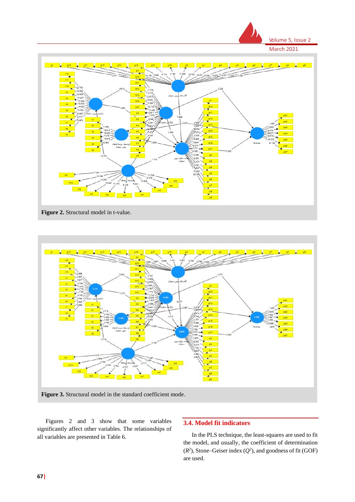





Figures 2 and 3 show that some variables significantly affect other variables. The relationships of all variables are presented in Table 6.

# **3.4. Model fit indicators**

In the PLS technique, the least-squares are used to fit the model, and usually, the coefficient of determination  $(R<sup>2</sup>)$ , Stone–Geiser index  $(Q<sup>2</sup>)$ , and goodness of fit (GOF) are used.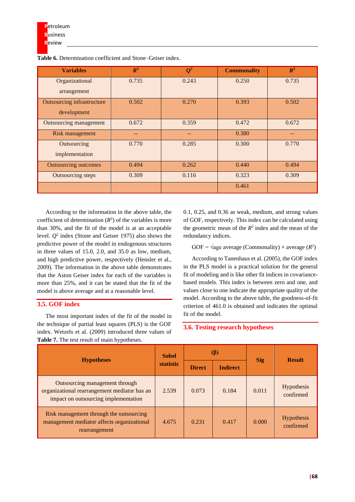| <b>Variables</b>            | $\mathbb{R}^2$ | $\mathbf{Q}^2$ | <b>Communality</b> | $\mathbb{R}^2$ |
|-----------------------------|----------------|----------------|--------------------|----------------|
| Organizational              | 0.735          | 0.243          | 0.250              | 0.735          |
| arrangement                 |                |                |                    |                |
| Outsourcing infrastructure  | 0.502          | 0.270          | 0.393              | 0.502          |
| development                 |                |                |                    |                |
| Outsourcing management      | 0.672          | 0.359          | 0.472              | 0.672          |
| <b>Risk management</b>      | --             | --             | 0.380              |                |
| Outsourcing                 | 0.770          | 0.285          | 0.300              | 0.770          |
| implementation              |                |                |                    |                |
| <b>Outsourcing outcomes</b> | 0.494          | 0.262          | 0.440              | 0.494          |
| <b>Outsourcing steps</b>    | 0.309          | 0.116          | 0.323              | 0.309          |
|                             |                |                | 0.461              |                |

**Table 6.** Determination coefficient and Stone–Geiser index.

According to the information in the above table, the coefficient of determination  $(R^2)$  of the variables is more than 30%, and the fit of the model is at an acceptable level. *Q*<sup>2</sup> index (Stone and Geiser 1975) also shows the predictive power of the model in endogenous structures in three values of 15.0, 2.0, and 35.0 as low, medium, and high predictive power, respectively (Hensler et al., 2009). The information in the above table demonstrates that the Aston Geiser index for each of the variables is more than 25%, and it can be stated that the fit of the model is above average and at a reasonable level.

#### **3.5. GOF index**

The most important index of the fit of the model in the technique of partial least squares (PLS) is the GOF index. Wetzels et al. (2009) introduced three values of **Table 7.** The test result of main hypotheses.

0.1, 0.25, and 0.36 as weak, medium, and strong values of GOF, respectively. This index can be calculated using the geometric mean of the  $R^2$  index and the mean of the redundancy indices.

GOF =  $\sqrt{age}$  average (Commonality) × average ( $R^2$ )

According to Tanenhaus et al. (2005), the GOF index in the PLS model is a practical solution for the general fit of modeling and is like other fit indices in covariancebased models. This index is between zero and one, and values close to one indicate the appropriate quality of the model. According to the above table, the goodness-of-fit criterion of 461.0 is obtained and indicates the optimal fit of the model.

#### **3.6. Testing research hypotheses**

| <b>Hypotheses</b>                                                                                                      | <b>Sobel</b>     |               | $(\beta)$       | <b>Sig</b> | <b>Result</b>                  |  |
|------------------------------------------------------------------------------------------------------------------------|------------------|---------------|-----------------|------------|--------------------------------|--|
|                                                                                                                        | <b>statistic</b> | <b>Direct</b> | <b>Indirect</b> |            |                                |  |
| Outsourcing management through<br>organizational rearrangement mediator has an<br>impact on outsourcing implementation | 2.539            | 0.073         | 0.184           | 0.011      | Hypothesis<br>confirmed        |  |
| Risk management through the outsourcing<br>management mediator affects organizational<br>rearrangement                 | 4.675            | 0.231         | 0.417           | 0.000      | <b>Hypothesis</b><br>confirmed |  |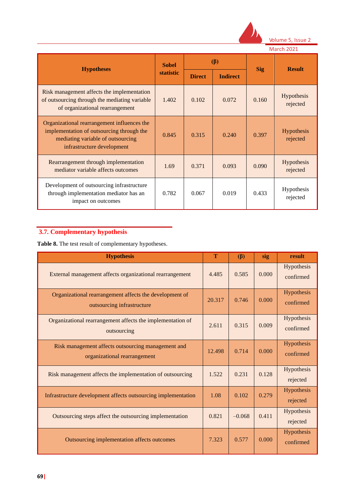

| <b>Hypotheses</b>                                                                                                                                           | <b>Sobel</b> | $(\beta)$     |                 | <b>Sig</b> | <b>Result</b>          |
|-------------------------------------------------------------------------------------------------------------------------------------------------------------|--------------|---------------|-----------------|------------|------------------------|
|                                                                                                                                                             | statistic    | <b>Direct</b> | <b>Indirect</b> |            |                        |
| Risk management affects the implementation<br>of outsourcing through the mediating variable<br>of organizational rearrangement                              | 1.402        | 0.102         | 0.072           | 0.160      | Hypothesis<br>rejected |
| Organizational rearrangement influences the<br>implementation of outsourcing through the<br>mediating variable of outsourcing<br>infrastructure development | 0.845        | 0.315         | 0.240           | 0.397      | Hypothesis<br>rejected |
| Rearrangement through implementation<br>mediator variable affects outcomes                                                                                  | 1.69         | 0.371         | 0.093           | 0.090      | Hypothesis<br>rejected |
| Development of outsourcing infrastructure<br>through implementation mediator has an<br>impact on outcomes                                                   | 0.782        | 0.067         | 0.019           | 0.433      | Hypothesis<br>rejected |

# **3.7. Complementary hypothesis**

**Table 8.** The test result of complementary hypotheses.

| <b>Hypothesis</b>                                                                     | T      | $(\beta)$ | sig   | result                  |
|---------------------------------------------------------------------------------------|--------|-----------|-------|-------------------------|
| External management affects organizational rearrangement                              | 4.485  | 0.585     | 0.000 | Hypothesis<br>confirmed |
| Organizational rearrangement affects the development of<br>outsourcing infrastructure | 20.317 | 0.746     | 0.000 | Hypothesis<br>confirmed |
| Organizational rearrangement affects the implementation of<br>outsourcing             | 2.611  | 0.315     | 0.009 | Hypothesis<br>confirmed |
| Risk management affects outsourcing management and<br>organizational rearrangement    | 12.498 | 0.714     | 0.000 | Hypothesis<br>confirmed |
| Risk management affects the implementation of outsourcing                             | 1.522  | 0.231     | 0.128 | Hypothesis<br>rejected  |
| Infrastructure development affects outsourcing implementation                         | 1.08   | 0.102     | 0.279 | Hypothesis<br>rejected  |
| Outsourcing steps affect the outsourcing implementation                               | 0.821  | $-0.068$  | 0.411 | Hypothesis<br>rejected  |
| Outsourcing implementation affects outcomes                                           | 7.323  | 0.577     | 0.000 | Hypothesis<br>confirmed |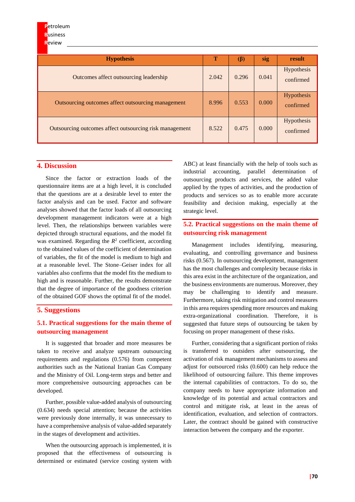| <b>Hypothesis</b>                                       | Т     | $(\beta)$ | sig   | result                         |
|---------------------------------------------------------|-------|-----------|-------|--------------------------------|
| Outcomes affect outsourcing leadership                  | 2.042 | 0.296     | 0.041 | Hypothesis<br>confirmed        |
| Outsourcing outcomes affect outsourcing management      | 8.996 | 0.553     | 0.000 | <b>Hypothesis</b><br>confirmed |
| Outsourcing outcomes affect outsourcing risk management | 8.522 | 0.475     | 0.000 | Hypothesis<br>confirmed        |

#### **4. Discussion**

Since the factor or extraction loads of the questionnaire items are at a high level, it is concluded that the questions are at a desirable level to enter the factor analysis and can be used. Factor and software analyses showed that the factor loads of all outsourcing development management indicators were at a high level. Then, the relationships between variables were depicted through structural equations, and the model fit was examined. Regarding the  $R^2$  coefficient, according to the obtained values of the coefficient of determination of variables, the fit of the model is medium to high and at a reasonable level. The Stone–Geiser index for all variables also confirms that the model fits the medium to high and is reasonable. Further, the results demonstrate that the degree of importance of the goodness criterion of the obtained GOF shows the optimal fit of the model.

#### **5. Suggestions**

# **5.1. Practical suggestions for the main theme of outsourcing management**

It is suggested that broader and more measures be taken to receive and analyze upstream outsourcing requirements and regulations (0.576) from competent authorities such as the National Iranian Gas Company and the Ministry of Oil. Long-term steps and better and more comprehensive outsourcing approaches can be developed.

Further, possible value-added analysis of outsourcing (0.634) needs special attention; because the activities were previously done internally, it was unnecessary to have a comprehensive analysis of value-added separately in the stages of development and activities.

When the outsourcing approach is implemented, it is proposed that the effectiveness of outsourcing is determined or estimated (service costing system with

ABC) at least financially with the help of tools such as industrial accounting, parallel determination of outsourcing products and services, the added value applied by the types of activities, and the production of products and services so as to enable more accurate feasibility and decision making, especially at the strategic level.

# **5.2. Practical suggestions on the main theme of outsourcing risk management**

Management includes identifying, measuring, evaluating, and controlling governance and business risks (0.567). In outsourcing development, management has the most challenges and complexity because risks in this area exist in the architecture of the organization, and the business environments are numerous. Moreover, they may be challenging to identify and measure. Furthermore, taking risk mitigation and control measures in this area requires spending more resources and making extra-organizational coordination. Therefore, it is suggested that future steps of outsourcing be taken by focusing on proper management of these risks.

Further, considering that a significant portion of risks is transferred to outsiders after outsourcing, the activation of risk management mechanisms to assess and adjust for outsourced risks (0.600) can help reduce the likelihood of outsourcing failure. This theme improves the internal capabilities of contractors. To do so, the company needs to have appropriate information and knowledge of its potential and actual contractors and control and mitigate risk, at least in the areas of identification, evaluation, and selection of contractors. Later, the contract should be gained with constructive interaction between the company and the exporter.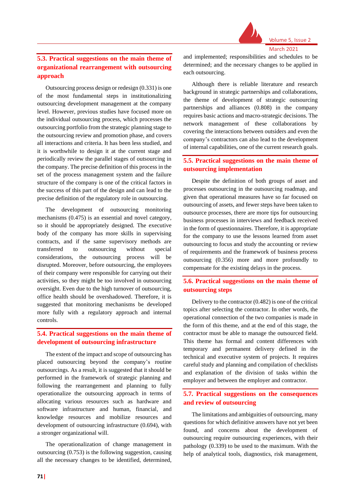

# **5.3. Practical suggestions on the main theme of organizational rearrangement with outsourcing approach**

Outsourcing process design or redesign (0.331) is one of the most fundamental steps in institutionalizing outsourcing development management at the company level. However, previous studies have focused more on the individual outsourcing process, which processes the outsourcing portfolio from the strategic planning stage to the outsourcing review and promotion phase, and covers all interactions and criteria. It has been less studied, and it is worthwhile to design it at the current stage and periodically review the parallel stages of outsourcing in the company. The precise definition of this process in the set of the process management system and the failure structure of the company is one of the critical factors in the success of this part of the design and can lead to the precise definition of the regulatory role in outsourcing.

The development of outsourcing monitoring mechanisms (0.475) is an essential and novel category, so it should be appropriately designed. The executive body of the company has more skills in supervising contracts, and if the same supervisory methods are transferred to outsourcing without special considerations, the outsourcing process will be disrupted. Moreover, before outsourcing, the employees of their company were responsible for carrying out their activities, so they might be too involved in outsourcing oversight. Even due to the high turnover of outsourcing, office health should be overshadowed. Therefore, it is suggested that monitoring mechanisms be developed more fully with a regulatory approach and internal controls.

# **5.4. Practical suggestions on the main theme of development of outsourcing infrastructure**

The extent of the impact and scope of outsourcing has placed outsourcing beyond the company's routine outsourcings. As a result, it is suggested that it should be performed in the framework of strategic planning and following the rearrangement and planning to fully operationalize the outsourcing approach in terms of allocating various resources such as hardware and software infrastructure and human, financial, and knowledge resources and mobilize resources and development of outsourcing infrastructure (0.694), with a stronger organizational will.

The operationalization of change management in outsourcing (0.753) is the following suggestion, causing all the necessary changes to be identified, determined,

and implemented; responsibilities and schedules to be determined; and the necessary changes to be applied in each outsourcing.

Although there is reliable literature and research background in strategic partnerships and collaborations, the theme of development of strategic outsourcing partnerships and alliances (0.808) in the company requires basic actions and macro-strategic decisions. The network management of these collaborations by covering the interactions between outsiders and even the company's contractors can also lead to the development of internal capabilities, one of the current research goals.

# **5.5. Practical suggestions on the main theme of outsourcing implementation**

Despite the definition of both groups of asset and processes outsourcing in the outsourcing roadmap, and given that operational measures have so far focused on outsourcing of assets, and fewer steps have been taken to outsource processes, there are more tips for outsourcing business processes in interviews and feedback received in the form of questionnaires. Therefore, it is appropriate for the company to use the lessons learned from asset outsourcing to focus and study the accounting or review of requirements and the framework of business process outsourcing (0.356) more and more profoundly to compensate for the existing delays in the process.

# **5.6. Practical suggestions on the main theme of outsourcing steps**

Delivery to the contractor (0.482) is one of the critical topics after selecting the contractor. In other words, the operational connection of the two companies is made in the form of this theme, and at the end of this stage, the contractor must be able to manage the outsourced field. This theme has formal and content differences with temporary and permanent delivery defined in the technical and executive system of projects. It requires careful study and planning and compilation of checklists and explanation of the division of tasks within the employer and between the employer and contractor.

# **5.7. Practical suggestions on the consequences and review of outsourcing**

The limitations and ambiguities of outsourcing, many questions for which definitive answers have not yet been found, and concerns about the development of outsourcing require outsourcing experiences, with their pathology (0.339) to be used to the maximum. With the help of analytical tools, diagnostics, risk management,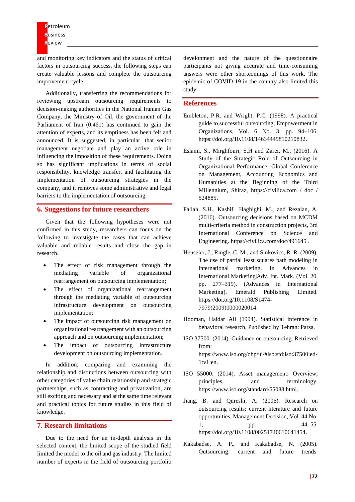and monitoring key indicators and the status of critical factors in outsourcing success, the following steps can create valuable lessons and complete the outsourcing improvement cycle.

Additionally, transferring the recommendations for reviewing upstream outsourcing requirements to decision-making authorities in the National Iranian Gas Company, the Ministry of Oil, the government of the Parliament of Iran (0.461) has continued to gain the attention of experts, and its emptiness has been felt and announced. It is suggested, in particular, that senior management negotiate and play an active role in influencing the imposition of these requirements. Doing so has significant implications in terms of social responsibility, knowledge transfer, and facilitating the implementation of outsourcing strategies in the company, and it removes some administrative and legal barriers to the implementation of outsourcing.

#### **6. Suggestions for future researchers**

Given that the following hypotheses were not confirmed in this study, researchers can focus on the following to investigate the cases that can achieve valuable and reliable results and close the gap in research.

- The effect of risk management through the mediating variable of organizational rearrangement on outsourcing implementation;
- The effect of organizational rearrangement through the mediating variable of outsourcing infrastructure development on outsourcing implementation;
- The impact of outsourcing risk management on organizational rearrangement with an outsourcing approach and on outsourcing implementation;
- The impact of outsourcing infrastructure development on outsourcing implementation.

In addition, comparing and examining the relationship and distinctions between outsourcing with other categories of value chain relationship and strategic partnerships, such as contracting and privatization, are still exciting and necessary and at the same time relevant and practical topics for future studies in this field of knowledge.

#### **7. Research limitations**

Due to the need for an in-depth analysis in the selected context, the limited scope of the studied field limited the model to the oil and gas industry. The limited number of experts in the field of outsourcing portfolio

development and the nature of the questionnaire participants not giving accurate and time-consuming answers were other shortcomings of this work. The epidemic of COVID-19 in the country also limited this study.

# **References**

- Embleton, P.R. and Wright, P.C. (1998). A practical guide to successful outsourcing, Empowerment in Organizations, Vol. 6 No. 3, pp. 94–106. https://doi.org/10.1108/14634449810210832.
- Eslami, S., Mirghfouri, S.H and Zarei, M., (2016). A Study of the Strategic Role of Outsourcing in Organizational Performance. Global Conference on Management, Accounting Economics and Humanities at the Beginning of the Third Millennium, Shiraz, https://civilica.com / doc / 524885.
- Fallah, S.H., Kashif Haghighi, M., and Rezaian, A. (2016). Outsourcing decisions based on MCDM multi-criteria method in construction projects, 3rd International Conference on Science and Engineering. https://civilica.com/doc/491645 .
- Henseler, J., Ringle, C. M., and Sinkovics, R. R. (2009). The use of partial least squares path modeling in international marketing. In Advances in International Marketing|Adv. Int. Mark. (Vol. 20, pp. 277–319). (Advances in International Marketing). Emerald Publishing Limited. https://doi.org/10.1108/S1474- 7979(2009)0000020014.
- Hooman, Haidar Ali (1994). Statistical inference in behavioral research. Published by Tehran: Parsa.
- ISO 37500. (2014). Guidance on outsourcing. Retrieved from: https://www.iso.org/obp/ui/#iso:std:iso:37500:ed-1:v1:en.
- ISO 55000. (2014). Asset management: Overview, principles, and terminology. https://www.iso.org/standard/55088.html.
- Jiang, B. and Qureshi, A. (2006). Research on outsourcing results: current literature and future opportunities, Management Decision, Vol. 44 No. 1, pp. 44–55. https://doi.org/10.1108/00251740610641454.
- Kakabadse, A. P., and Kakabadse, N. (2005). Outsourcing: current and future trends.